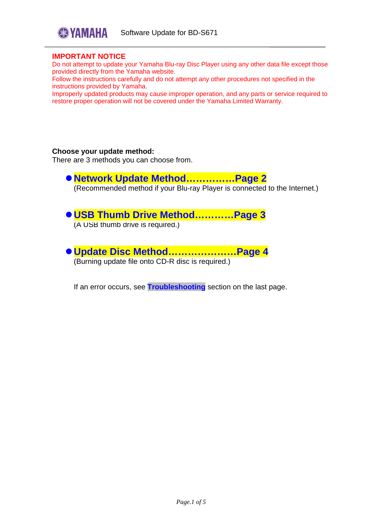

### **IMPORTANT NOTICE**

Do not attempt to update your Yamaha Blu-ray Disc Player using any other data file except those provided directly from the Yamaha website.

Follow the instructions carefully and do not attempt any other procedures not specified in the instructions provided by Yamaha.

Improperly updated products may cause improper operation, and any parts or service required to restore proper operation will not be covered under the Yamaha Limited Warranty.

#### **Choose your update method:**

There are 3 methods you can choose from.

**[Network Update Method……………Page 2](#page-1-0)**

(Recommended method if your Blu-ray Player is connected to the Internet.)

# **[USB Thumb Drive Method…………Page 3](#page-2-0)**

(A USB thumb drive is required.)

**[Update Disc Method…………………Page 4](#page-3-0)** (Burning update file onto CD-R disc is required.)

If an error occurs, see **[Troubleshooting](#page-4-0)** section on the last page.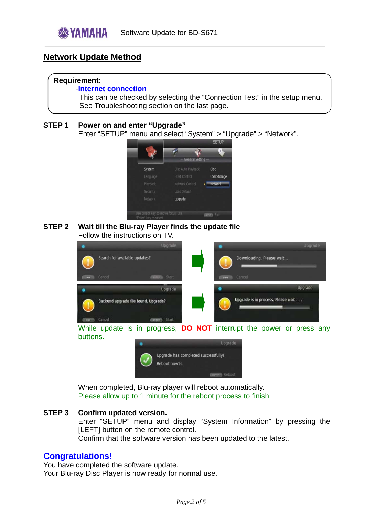# <span id="page-1-0"></span>**Network Update Method**

## **Requirement:**

### -**Internet connection**

 This can be checked by selecting the "Connection Test" in the setup menu. See Troubleshooting section on the last page.

## **STEP 1 Power on and enter "Upgrade"**

Enter "SETUP" menu and select "System" > "Upgrade" > "Network".



## **STEP 2 Wait till the Blu-ray Player finds the update file**  Follow the instructions on TV.

|                                      | Upgrade                |                                    | Upgrade |
|--------------------------------------|------------------------|------------------------------------|---------|
| Search for available updates?        |                        | Downloading. Please wait           |         |
| <b>Cancel</b><br>1441                | <b>Castron A</b> Start | Cancel<br><b>Jidd</b>              |         |
|                                      | Upgrade                | ۰                                  | Upgrade |
| Backend upgrade file found. Upgrade? |                        | Upgrade is in process. Please wait |         |
| Cancel<br><b>Lee</b>                 | <b>Committee Start</b> |                                    |         |

While update is in progress, **DO NOT** interrupt the power or press any buttons.



When completed, Blu-ray player will reboot automatically. Please allow up to 1 minute for the reboot process to finish.

## **STEP 3 Confirm updated version.**

Enter "SETUP" menu and display "System Information" by pressing the [LEFT] button on the remote control.

Confirm that the software version has been updated to the latest.

# **Congratulations!**

You have completed the software update. Your Blu-ray Disc Player is now ready for normal use.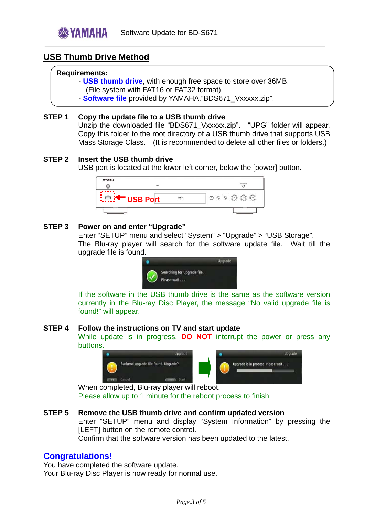# <span id="page-2-0"></span>**USB Thumb Drive Method**

### **Requirements:**

- - **USB thumb drive**, with enough free space to store over 36MB.
- (File system with FAT16 or FAT32 format)
- **Software file** provided by YAMAHA,"BDS671\_Vxxxxx.zip".

### **STEP 1 Copy the update file to a USB thumb drive**

Unzip the downloaded file "BDS671\_Vxxxxx.zip". "UPG" folder will appear. Copy this folder to the root directory of a USB thumb drive that supports USB Mass Storage Class. (It is recommended to delete all other files or folders.)

## **STEP 2 Insert the USB thumb drive**

USB port is located at the lower left corner, below the [power] button.



### **STEP 3 Power on and enter "Upgrade"**

Enter "SETUP" menu and select "System" > "Upgrade" > "USB Storage". The Blu-ray player will search for the software update file. Wait till the upgrade file is found.



If the software in the USB thumb drive is the same as the software version currently in the Blu-ray Disc Player, the message "No valid upgrade file is found!" will appear.

#### **STEP 4 Follow the instructions on TV and start update**

While update is in progress, **DO NOT** interrupt the power or press any buttons.



When completed, Blu-ray player will reboot. Please allow up to 1 minute for the reboot process to finish.

## **STEP 5 Remove the USB thumb drive and confirm updated version**

Enter "SETUP" menu and display "System Information" by pressing the [LEFT] button on the remote control.

Confirm that the software version has been updated to the latest.

## **Congratulations!**

You have completed the software update. Your Blu-ray Disc Player is now ready for normal use.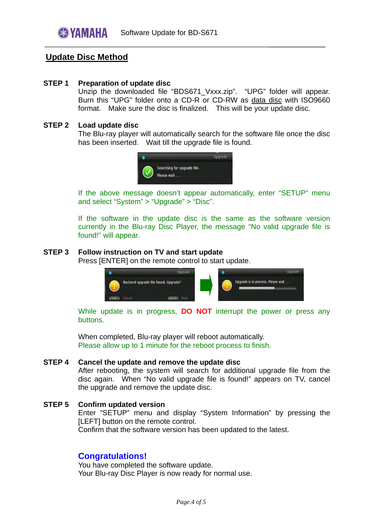# <span id="page-3-0"></span>**Update Disc Method**

### **STEP 1 Preparation of update disc**

Unzip the downloaded file "BDS671\_Vxxx.zip". "UPG" folder will appear. Burn this "UPG" folder onto a CD-R or CD-RW as data disc with ISO9660 format. Make sure the disc is finalized. This will be your update disc.

#### **STEP 2 Load update disc**

The Blu-ray player will automatically search for the software file once the disc has been inserted. Wait till the upgrade file is found.



If the above message doesn't appear automatically, enter "SETUP" menu and select "System" > "Upgrade" > "Disc".

If the software in the update disc is the same as the software version currently in the Blu-ray Disc Player, the message "No valid upgrade file is found!" will appear.

#### **STEP 3 Follow instruction on TV and start update**

Press [ENTER] on the remote control to start update.



While update is in progress, **DO NOT** interrupt the power or press any buttons.

When completed, Blu-ray player will reboot automatically. Please allow up to 1 minute for the reboot process to finish.

#### **STEP 4 Cancel the update and remove the update disc**

After rebooting, the system will search for additional upgrade file from the disc again. When "No valid upgrade file is found!" appears on TV, cancel the upgrade and remove the update disc.

## **STEP 5 Confirm updated version**  Enter "SETUP" menu and display "System Information" by pressing the [LEFT] button on the remote control. Confirm that the software version has been updated to the latest.

## **Congratulations!**

You have completed the software update. Your Blu-ray Disc Player is now ready for normal use.